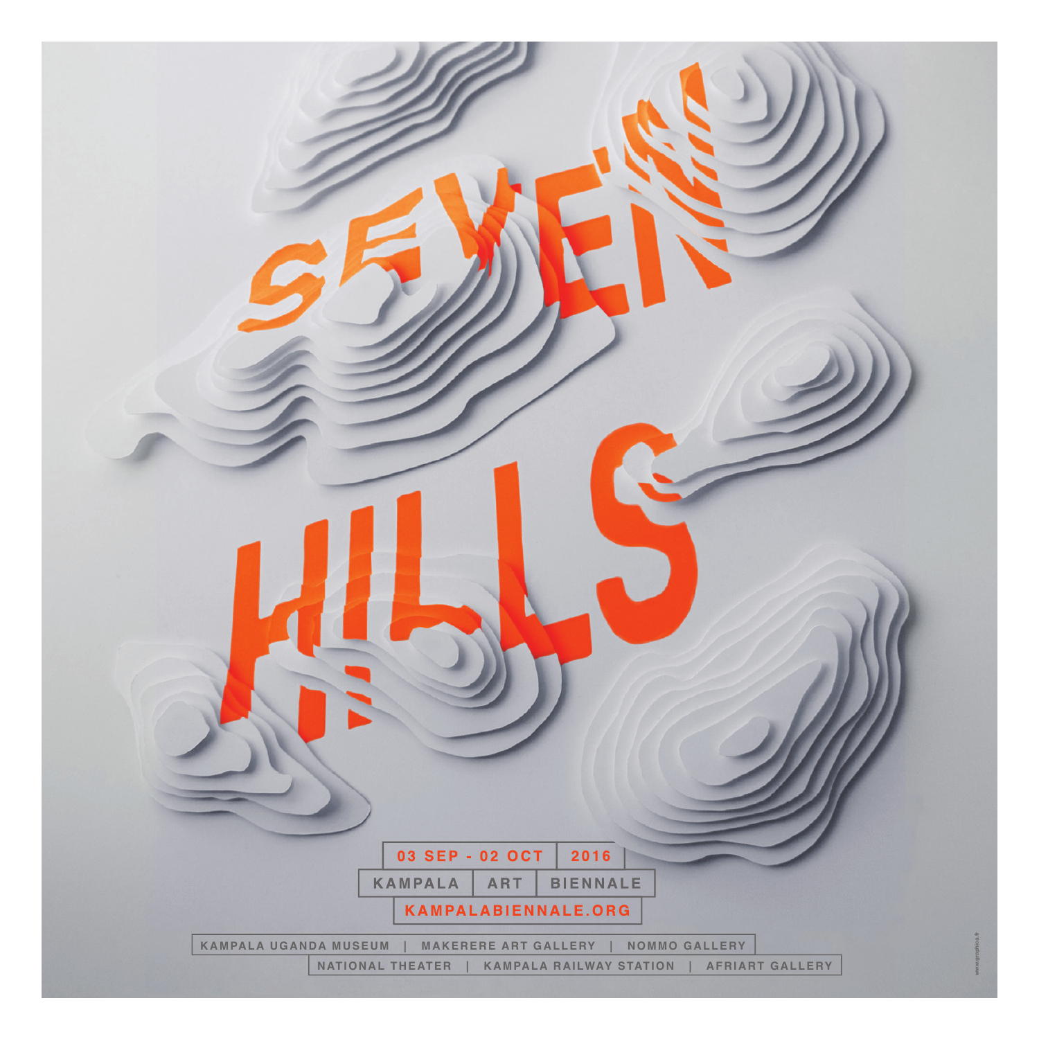